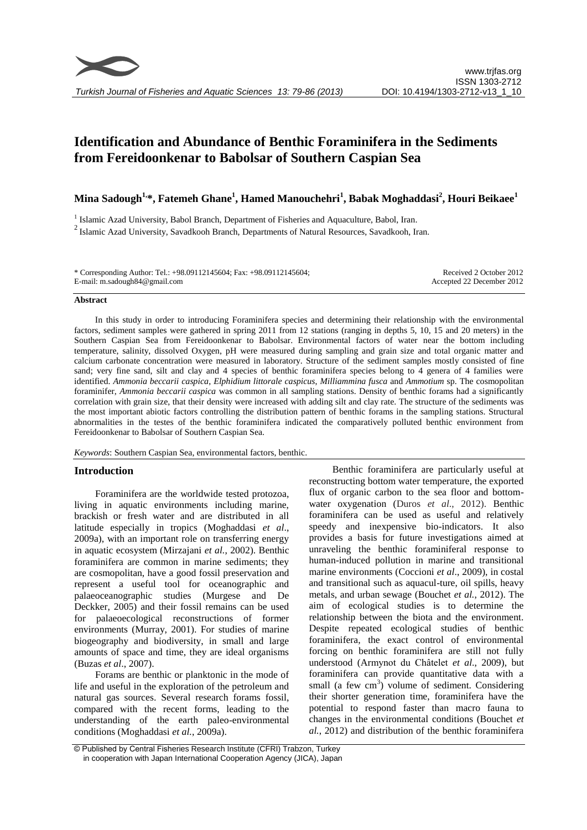# **Identification and Abundance of Benthic Foraminifera in the Sediments from Fereidoonkenar to Babolsar of Southern Caspian Sea**

# **Mina Sadough1,\*, Fatemeh Ghane<sup>1</sup> , Hamed Manouchehri<sup>1</sup> , Babak Moghaddasi<sup>2</sup> , Houri Beikaee<sup>1</sup>**

<sup>1</sup> Islamic Azad University, Babol Branch, Department of Fisheries and Aquaculture, Babol, Iran.  $2$ Islamic Azad University, Savadkooh Branch, Departments of Natural Resources, Savadkooh, Iran.

| * Corresponding Author: Tel.: +98.09112145604; Fax: +98.09112145604; | Received 2 October 2012   |
|----------------------------------------------------------------------|---------------------------|
| E-mail: m.sadough $84@$ gmail.com                                    | Accepted 22 December 2012 |

#### **Abstract**

In this study in order to introducing Foraminifera species and determining their relationship with the environmental factors, sediment samples were gathered in spring 2011 from 12 stations (ranging in depths 5, 10, 15 and 20 meters) in the Southern Caspian Sea from Fereidoonkenar to Babolsar. Environmental factors of water near the bottom including temperature, salinity, dissolved Oxygen, pH were measured during sampling and grain size and total organic matter and calcium carbonate concentration were measured in laboratory. Structure of the sediment samples mostly consisted of fine sand; very fine sand, silt and clay and 4 species of benthic foraminifera species belong to 4 genera of 4 families were identified. *Ammonia beccarii caspica*, *Elphidium littorale caspicus*, *Milliammina fusca* and *Ammotium* sp. The cosmopolitan foraminifer, *Ammonia beccarii caspica* was common in all sampling stations. Density of benthic forams had a significantly correlation with grain size, that their density were increased with adding silt and clay rate. The structure of the sediments was the most important abiotic factors controlling the distribution pattern of benthic forams in the sampling stations. Structural abnormalities in the testes of the benthic foraminifera indicated the comparatively polluted benthic environment from Fereidoonkenar to Babolsar of Southern Caspian Sea.

*Keywords*: Southern Caspian Sea, environmental factors, benthic.

# **Introduction**

Foraminifera are the worldwide tested protozoa, living in aquatic environments including marine, brackish or fresh water and are distributed in all latitude especially in tropics (Moghaddasi *et al*., 2009a), with an important role on transferring energy in aquatic ecosystem (Mirzajani *et al.*, 2002). Benthic foraminifera are common in marine sediments; they are cosmopolitan, have a good fossil preservation and represent a useful tool for oceanographic and palaeoceanographic studies (Murgese and De Deckker, 2005) and their fossil remains can be used for palaeoecological reconstructions of former environments (Murray, 2001). For studies of marine biogeography and biodiversity, in small and large amounts of space and time, they are ideal organisms (Buzas *et al*., 2007).

Forams are benthic or planktonic in the mode of life and useful in the exploration of the petroleum and natural gas sources. Several research forams fossil, compared with the recent forms, leading to the understanding of the earth paleo-environmental conditions (Moghaddasi *et al.*, 2009a).

Benthic foraminifera are particularly useful at reconstructing bottom water temperature, the exported flux of organic carbon to the sea floor and bottomwater oxygenation (Duros *et al*., 2012). Benthic foraminifera can be used as useful and relatively speedy and inexpensive bio-indicators. It also provides a basis for future investigations aimed at unraveling the benthic foraminiferal response to human-induced pollution in marine and transitional marine environments (Coccioni *et al*., 2009), in costal and transitional such as aquacul-ture, oil spills, heavy metals, and urban sewage (Bouchet *et al.*, 2012). The aim of ecological studies is to determine the relationship between the biota and the environment. Despite repeated ecological studies of benthic foraminifera, the exact control of environmental forcing on benthic foraminifera are still not fully understood (Armynot du Châtelet *et al*., 2009), but foraminifera can provide quantitative data with a small (a few  $cm<sup>3</sup>$ ) volume of sediment. Considering their shorter generation time, foraminifera have the potential to respond faster than macro fauna to changes in the environmental conditions (Bouchet *et al.*, 2012) and distribution of the benthic foraminifera

<sup>©</sup> Published by Central Fisheries Research Institute (CFRI) Trabzon, Turkey in cooperation with Japan International Cooperation Agency (JICA), Japan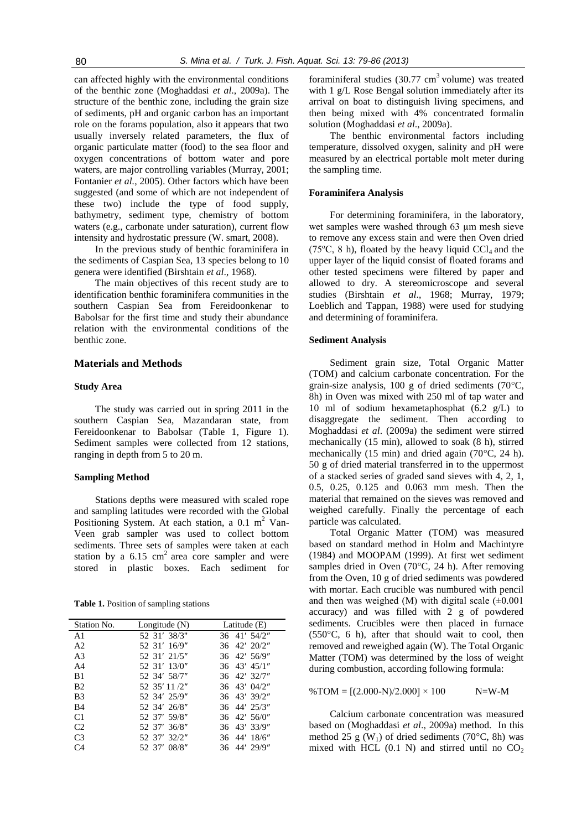can affected highly with the environmental conditions of the benthic zone (Moghaddasi *et al*., 2009a). The structure of the benthic zone, including the grain size of sediments, pH and organic carbon has an important role on the forams population, also it appears that two usually inversely related parameters, the flux of organic particulate matter (food) to the sea floor and oxygen concentrations of bottom water and pore waters, are major controlling variables (Murray, 2001; Fontanier *et al.*, 2005). Other factors which have been suggested (and some of which are not independent of these two) include the type of food supply, bathymetry, sediment type, chemistry of bottom waters (e.g., carbonate under saturation), current flow intensity and hydrostatic pressure (W. smart, 2008).

In the previous study of benthic foraminifera in the sediments of Caspian Sea, 13 species belong to 10 genera were identified (Birshtain *et al*., 1968).

The main objectives of this recent study are to identification benthic foraminifera communities in the southern Caspian Sea from Fereidoonkenar to Babolsar for the first time and study their abundance relation with the environmental conditions of the benthic zone.

# **Materials and Methods**

#### **Study Area**

The study was carried out in spring 2011 in the southern Caspian Sea, Mazandaran state, from Fereidoonkenar to Babolsar (Table 1, Figure 1). Sediment samples were collected from 12 stations, ranging in depth from 5 to 20 m.

#### **Sampling Method**

Stations depths were measured with scaled rope and sampling latitudes were recorded with the Global Positioning System. At each station, a  $0.1 \text{ m}^2$  Van-Veen grab sampler was used to collect bottom sediments. Three sets of samples were taken at each station by a  $6.15 \text{ cm}^2$  area core sampler and were stored in plastic boxes. Each sediment for

| Station No.    | Longitude $(N)$ | Latitude $(E)$              |
|----------------|-----------------|-----------------------------|
| A <sub>1</sub> | 52 31' 38/3"    | 36 41' 54/2"                |
| A <sub>2</sub> | 52 31' 16/9"    | $36 \quad 42' \quad 20/2''$ |
| A <sub>3</sub> | 52 31' 21/5"    | 36 42' 56/9"                |
| A <sub>4</sub> | 52 31' 13/0"    | $36 \quad 43' \quad 45/1''$ |
| B <sub>1</sub> | 52 34' 58/7"    | 36 42' 32/7"                |
| B <sub>2</sub> | 52 35' 11 /2"   | $36 \quad 43' \quad 04/2''$ |
| B <sub>3</sub> | 52 34' 25/9"    | 36 43' 39/2"                |
| B4             | 52 34' 26/8"    | $36 \quad 44' \quad 25/3''$ |
| C <sub>1</sub> | 52 37' 59/8"    | $36 \quad 42' \quad 56/0''$ |
| C <sub>2</sub> | 52 37' 36/8"    | 36 43' 33/9"                |
| C <sub>3</sub> | 52 37' 32/2"    | 36 44' 18/6"                |
| C4             | 52 37' 08/8"    | 36 44' 29/9"                |

foraminiferal studies  $(30.77 \text{ cm}^3 \text{ volume})$  was treated with 1 g/L Rose Bengal solution immediately after its arrival on boat to distinguish living specimens, and then being mixed with 4% concentrated formalin solution (Moghaddasi *et al*., 2009a).

The benthic environmental factors including temperature, dissolved oxygen, salinity and pH were measured by an electrical portable molt meter during the sampling time.

#### **Foraminifera Analysis**

For determining foraminifera, in the laboratory, wet samples were washed through 63 µm mesh sieve to remove any excess stain and were then Oven dried (75 $\rm ^{o}C$ , 8 h), floated by the heavy liquid CCl<sub>4</sub> and the upper layer of the liquid consist of floated forams and other tested specimens were filtered by paper and allowed to dry. A stereomicroscope and several studies (Birshtain *et al*., 1968; Murray, 1979; Loeblich and Tappan, 1988) were used for studying and determining of foraminifera.

#### **Sediment Analysis**

Sediment grain size, Total Organic Matter (TOM) and calcium carbonate concentration. For the grain-size analysis, 100 g of dried sediments (70°C, 8h) in Oven was mixed with 250 ml of tap water and 10 ml of sodium hexametaphosphat (6.2 g/L) to disaggregate the sediment. Then according to Moghaddasi *et al*. (2009a) the sediment were stirred mechanically (15 min), allowed to soak (8 h), stirred mechanically (15 min) and dried again (70°C, 24 h). 50 g of dried material transferred in to the uppermost of a stacked series of graded sand sieves with 4, 2, 1, 0.5, 0.25, 0.125 and 0.063 mm mesh. Then the material that remained on the sieves was removed and weighed carefully. Finally the percentage of each particle was calculated.

Total Organic Matter (TOM) was measured based on standard method in Holm and Machintyre (1984) and MOOPAM (1999). At first wet sediment samples dried in Oven (70°C, 24 h). After removing from the Oven, 10 g of dried sediments was powdered with mortar. Each crucible was numbured with pencil and then was weighed (M) with digital scale  $(\pm 0.001)$ accuracy) and was filled with 2 g of powdered sediments. Crucibles were then placed in furnace (550°C, 6 h), after that should wait to cool, then removed and reweighed again (W). The Total Organic Matter (TOM) was determined by the loss of weight during combustion, according following formula:

 $\%$  TOM =  $[(2.000-N)/2.000] \times 100$  N=W-M

Calcium carbonate concentration was measured based on (Moghaddasi *et al*., 2009a) method. In this method 25 g ( $W_1$ ) of dried sediments (70°C, 8h) was mixed with HCL  $(0.1 \text{ N})$  and stirred until no  $CO<sub>2</sub>$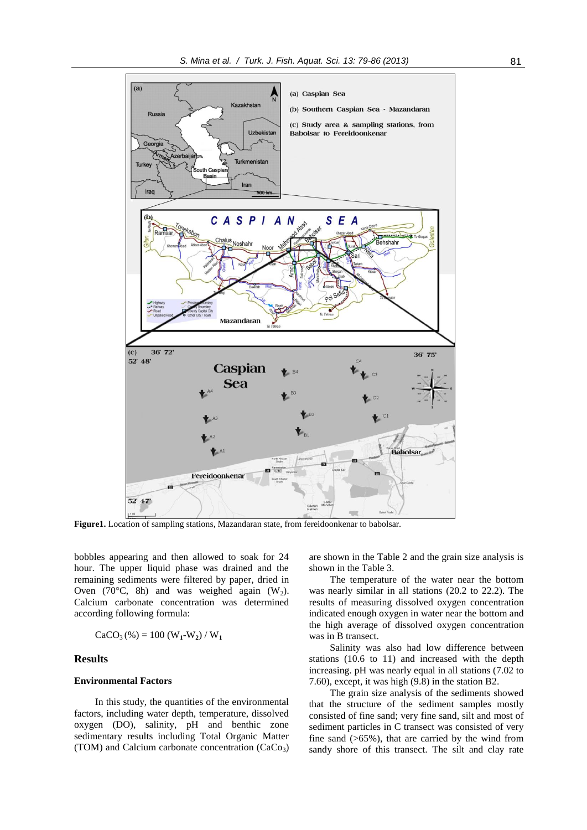

**Figure1.** Location of sampling stations, Mazandaran state, from fereidoonkenar to babolsar.

bobbles appearing and then allowed to soak for 24 hour. The upper liquid phase was drained and the remaining sediments were filtered by paper, dried in Oven ( $70^{\circ}$ C, 8h) and was weighed again (W<sub>2</sub>). Calcium carbonate concentration was determined according following formula:

$$
CaCO_{3}(\%) = 100 (W_{1} - W_{2}) / W_{1}
$$

### **Results**

# **Environmental Factors**

In this study, the quantities of the environmental factors, including water depth, temperature, dissolved oxygen (DO), salinity, pH and benthic zone sedimentary results including Total Organic Matter (TOM) and Calcium carbonate concentration  $(CaCo<sub>3</sub>)$ 

are shown in the Table 2 and the grain size analysis is shown in the Table 3.

The temperature of the water near the bottom was nearly similar in all stations (20.2 to 22.2). The results of measuring dissolved oxygen concentration indicated enough oxygen in water near the bottom and the high average of dissolved oxygen concentration was in B transect.

Salinity was also had low difference between stations (10.6 to 11) and increased with the depth increasing. pH was nearly equal in all stations (7.02 to 7.60), except, it was high (9.8) in the station B2.

The grain size analysis of the sediments showed that the structure of the sediment samples mostly consisted of fine sand; very fine sand, silt and most of sediment particles in C transect was consisted of very fine sand  $(565\%)$ , that are carried by the wind from sandy shore of this transect. The silt and clay rate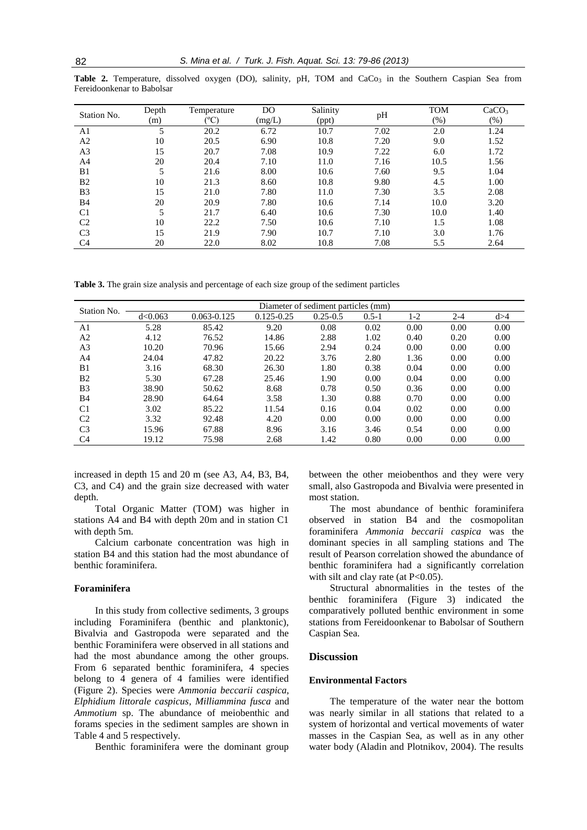| Station No.    | Depth | Temperature   | D <sub>O</sub>                  | Salinity     |      | <b>TOM</b> | CaCO <sub>3</sub> |
|----------------|-------|---------------|---------------------------------|--------------|------|------------|-------------------|
|                | (m)   | ${}^{\circ}C$ | $\left(\underline{mg}/L\right)$ | (ppt)        | pH   | $(\% )$    | $(\% )$           |
| A1             | 5     | 20.2          | 6.72                            | 7.02<br>10.7 |      | 2.0        | 1.24              |
| A <sub>2</sub> | 10    | 20.5          | 6.90                            | 10.8         | 7.20 | 9.0        | 1.52              |
| A <sub>3</sub> | 15    | 20.7          | 7.08                            | 10.9         | 7.22 | 6.0        | 1.72              |
| A4             | 20    | 20.4          | 7.10                            | 11.0         | 7.16 | 10.5       | 1.56              |
| B <sub>1</sub> | 5     | 21.6          | 8.00                            | 10.6         | 7.60 | 9.5        | 1.04              |
| B <sub>2</sub> | 10    | 21.3          | 8.60                            | 10.8         | 9.80 | 4.5        | 1.00              |
| B <sub>3</sub> | 15    | 21.0          | 7.80                            | 11.0         | 7.30 | 3.5        | 2.08              |
| <b>B</b> 4     | 20    | 20.9          | 7.80                            | 10.6         | 7.14 | 10.0       | 3.20              |
| C <sub>1</sub> | 5     | 21.7          | 6.40                            | 10.6         | 7.30 | 10.0       | 1.40              |
| C <sub>2</sub> | 10    | 22.2          | 7.50                            | 10.6         | 7.10 | 1.5        | 1.08              |
| C <sub>3</sub> | 15    | 21.9          | 7.90                            | 10.7         | 7.10 | 3.0        | 1.76              |
| C <sub>4</sub> | 20    | 22.0          | 8.02                            | 10.8         | 7.08 | 5.5        | 2.64              |

Table 2. Temperature, dissolved oxygen (DO), salinity, pH, TOM and CaCo<sub>3</sub> in the Southern Caspian Sea from Fereidoonkenar to Babolsar

**Table 3.** The grain size analysis and percentage of each size group of the sediment particles

| Station No.    | Diameter of sediment particles (mm) |                 |                |              |           |       |         |       |  |  |  |
|----------------|-------------------------------------|-----------------|----------------|--------------|-----------|-------|---------|-------|--|--|--|
|                | d < 0.063                           | $0.063 - 0.125$ | $0.125 - 0.25$ | $0.25 - 0.5$ | $0.5 - 1$ | $1-2$ | $2 - 4$ | d > 4 |  |  |  |
| A <sub>1</sub> | 5.28                                | 85.42           | 9.20           | 0.08         | 0.02      | 0.00  | 0.00    | 0.00  |  |  |  |
| A <sub>2</sub> | 4.12                                | 76.52           | 14.86          | 2.88         | 1.02      | 0.40  | 0.20    | 0.00  |  |  |  |
| A <sub>3</sub> | 10.20                               | 70.96           | 15.66          | 2.94         | 0.24      | 0.00  | 0.00    | 0.00  |  |  |  |
| A <sup>4</sup> | 24.04                               | 47.82           | 20.22          | 3.76         | 2.80      | 1.36  | 0.00    | 0.00  |  |  |  |
| B1             | 3.16                                | 68.30           | 26.30          | 1.80         | 0.38      | 0.04  | 0.00    | 0.00  |  |  |  |
| B <sub>2</sub> | 5.30                                | 67.28           | 25.46          | 1.90         | 0.00      | 0.04  | 0.00    | 0.00  |  |  |  |
| B <sub>3</sub> | 38.90                               | 50.62           | 8.68           | 0.78         | 0.50      | 0.36  | 0.00    | 0.00  |  |  |  |
| <b>B4</b>      | 28.90                               | 64.64           | 3.58           | 1.30         | 0.88      | 0.70  | 0.00    | 0.00  |  |  |  |
| C <sub>1</sub> | 3.02                                | 85.22           | 11.54          | 0.16         | 0.04      | 0.02  | 0.00    | 0.00  |  |  |  |
| C <sub>2</sub> | 3.32                                | 92.48           | 4.20           | 0.00         | 0.00      | 0.00  | 0.00    | 0.00  |  |  |  |
| C <sub>3</sub> | 15.96                               | 67.88           | 8.96           | 3.16         | 3.46      | 0.54  | 0.00    | 0.00  |  |  |  |
| C <sub>4</sub> | 19.12                               | 75.98           | 2.68           | 1.42         | 0.80      | 0.00  | 0.00    | 0.00  |  |  |  |
|                |                                     |                 |                |              |           |       |         |       |  |  |  |

increased in depth 15 and 20 m (see A3, A4, B3, B4, C3, and C4) and the grain size decreased with water depth.

Total Organic Matter (TOM) was higher in stations A4 and B4 with depth 20m and in station C1 with depth 5m.

Calcium carbonate concentration was high in station B4 and this station had the most abundance of benthic foraminifera.

# **Foraminifera**

In this study from collective sediments, 3 groups including Foraminifera (benthic and planktonic), Bivalvia and Gastropoda were separated and the benthic Foraminifera were observed in all stations and had the most abundance among the other groups. From 6 separated benthic foraminifera, 4 species belong to 4 genera of 4 families were identified (Figure 2). Species were *Ammonia beccarii caspica, Elphidium littorale caspicus*, *Milliammina fusca* and *Ammotium* sp. The abundance of meiobenthic and forams species in the sediment samples are shown in Table 4 and 5 respectively.

Benthic foraminifera were the dominant group

between the other meiobenthos and they were very small, also Gastropoda and Bivalvia were presented in most station.

The most abundance of benthic foraminifera observed in station B4 and the cosmopolitan foraminifera *Ammonia beccarii caspica* was the dominant species in all sampling stations and The result of Pearson correlation showed the abundance of benthic foraminifera had a significantly correlation with silt and clay rate (at  $P<0.05$ ).

Structural abnormalities in the testes of the benthic foraminifera (Figure 3) indicated the comparatively polluted benthic environment in some stations from Fereidoonkenar to Babolsar of Southern Caspian Sea.

# **Discussion**

# **Environmental Factors**

The temperature of the water near the bottom was nearly similar in all stations that related to a system of horizontal and vertical movements of water masses in the Caspian Sea, as well as in any other water body (Aladin and Plotnikov, 2004). The results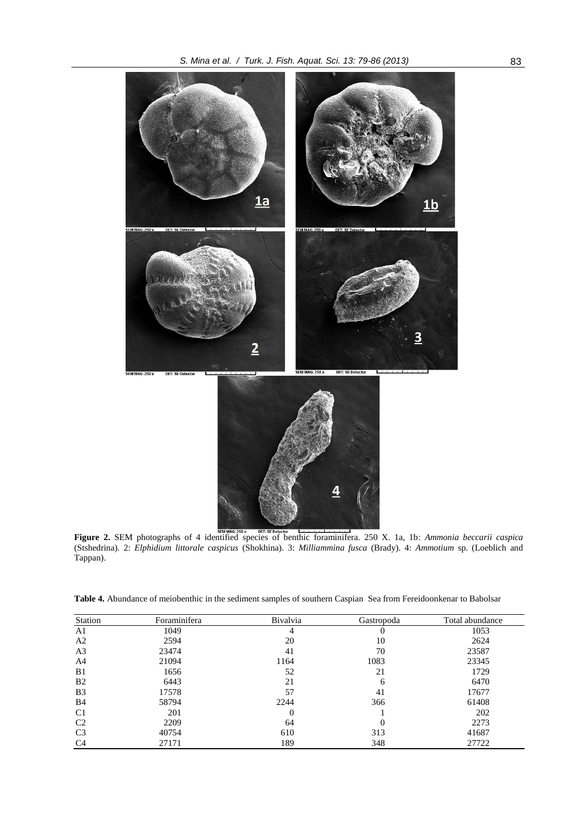

**Figure 2.** SEM photographs of 4 identified species of benthic foraminifera. 250 X. 1a, 1b: *Ammonia beccarii caspica*  (Stshedrina). 2: *Elphidium littorale caspicus* (Shokhina). 3: *Milliammina fusca* (Brady). 4: *Ammotium* sp. (Loeblich and Tappan).

| Station        | Foraminifera | Bivalvia | Gastropoda | Total abundance |
|----------------|--------------|----------|------------|-----------------|
| A <sub>1</sub> | 1049         | 4        | O          | 1053            |
| A <sub>2</sub> | 2594         | 20       | 10         | 2624            |
| A <sub>3</sub> | 23474        | 41       | 70         | 23587           |
| A4             | 21094        | 1164     | 1083       | 23345           |
| B <sub>1</sub> | 1656         | 52       | 21         | 1729            |
| B <sub>2</sub> | 6443         | 21       | 6          | 6470            |
| B <sub>3</sub> | 17578        | 57       | 41         | 17677           |
| B <sub>4</sub> | 58794        | 2244     | 366        | 61408           |
| C <sub>1</sub> | 201          | 0        |            | 202             |
| C <sub>2</sub> | 2209         | 64       |            | 2273            |
| C <sub>3</sub> | 40754        | 610      | 313        | 41687           |
| C <sub>4</sub> | 27171        | 189      | 348        | 27722           |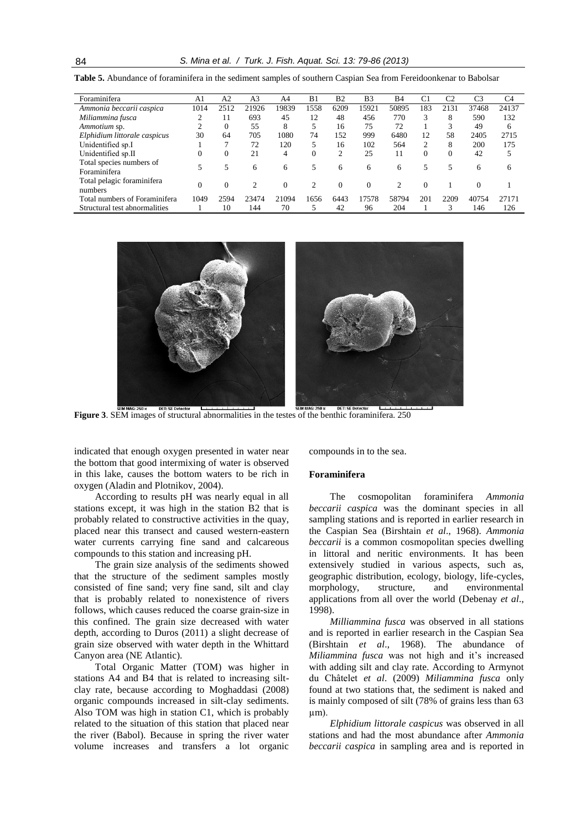| Foraminifera                             | A1   | A <sub>2</sub> | A <sub>3</sub> | A4       | B1       | B <sub>2</sub> | B <sub>3</sub> | <b>B4</b>     | C1             | C2       | C3    | C <sub>4</sub> |
|------------------------------------------|------|----------------|----------------|----------|----------|----------------|----------------|---------------|----------------|----------|-------|----------------|
| Ammonia beccarii caspica                 | 1014 | 2512           | 21926          | 19839    | 1558     | 6209           | 15921          | 50895         | 183            | 2131     | 37468 | 24137          |
| Miliammina fusca                         | ◠    | 11             | 693            | 45       | 12       | 48             | 456            | 770           | 3              | 8        | 590   | 132            |
| Ammotium sp.                             |      | 0              | 55             | 8        |          | 16             | 75             | 72            |                | 3        | 49    | 6              |
| Elphidium littorale caspicus             | 30   | 64             | 705            | 1080     | 74       | 152            | 999            | 6480          | 12             | 58       | 2405  | 2715           |
| Unidentified sp.I                        |      |                | 72             | 120      | 5        | 16             | 102            | 564           | $\overline{c}$ | 8        | 200   | 175            |
| Unidentified sp.II                       | 0    |                | 21             | 4        | $\Omega$ | $\overline{c}$ | 25             | 11            | $\Omega$       | $\Omega$ | 42    |                |
| Total species numbers of<br>Foraminifera |      |                | 6              | 6        | 5        | 6              | 6              | 6             | 5              |          | 6     | 6              |
| Total pelagic foraminifera<br>numbers    | 0    |                | 2              | $\Omega$ |          | $\Omega$       | $\Omega$       | $\mathcal{D}$ | $\Omega$       |          |       |                |
| Total numbers of Foraminifera            | 1049 | 2594           | 23474          | 21094    | 1656     | 6443           | 17578          | 58794         | 201            | 2209     | 40754 | 27171          |
| Structural test abnormalities            |      | 10             | 144            | 70       | 5        | 42             | 96             | 204           |                | 3        | 146   | 126            |

**Table 5.** Abundance of foraminifera in the sediment samples of southern Caspian Sea from Fereidoonkenar to Babolsar



**Figure 3**. SEM images of structural abnormalities in the testes of the benthic foraminifera. 250

indicated that enough oxygen presented in water near the bottom that good intermixing of water is observed in this lake, causes the bottom waters to be rich in oxygen (Aladin and Plotnikov, 2004).

According to results pH was nearly equal in all stations except, it was high in the station B2 that is probably related to constructive activities in the quay, placed near this transect and caused western-eastern water currents carrying fine sand and calcareous compounds to this station and increasing pH.

The grain size analysis of the sediments showed that the structure of the sediment samples mostly consisted of fine sand; very fine sand, silt and clay that is probably related to nonexistence of rivers follows, which causes reduced the coarse grain-size in this confined. The grain size decreased with water depth, according to Duros (2011) a slight decrease of grain size observed with water depth in the Whittard Canyon area (NE Atlantic).

Total Organic Matter (TOM) was higher in stations A4 and B4 that is related to increasing siltclay rate, because according to Moghaddasi (2008) organic compounds increased in silt-clay sediments. Also TOM was high in station C1, which is probably related to the situation of this station that placed near the river (Babol). Because in spring the river water volume increases and transfers a lot organic compounds in to the sea.

#### **Foraminifera**

The cosmopolitan foraminifera *Ammonia beccarii caspica* was the dominant species in all sampling stations and is reported in earlier research in the Caspian Sea (Birshtain *et al*., 1968). *Ammonia beccarii* is a common cosmopolitan species dwelling in littoral and neritic environments. It has been extensively studied in various aspects, such as, geographic distribution, ecology, biology, life-cycles, morphology, structure, and environmental applications from all over the world (Debenay *et al*., 1998).

*Milliammina fusca* was observed in all stations and is reported in earlier research in the Caspian Sea (Birshtain *et al*., 1968). The abundance of *Miliammina fusca* was not high and it's increased with adding silt and clay rate. According to Armynot du Châtelet *et al*. (2009) *Miliammina fusca* only found at two stations that, the sediment is naked and is mainly composed of silt (78% of grains less than 63 µm).

*Elphidium littorale caspicus* was observed in all stations and had the most abundance after *Ammonia beccarii caspica* in sampling area and is reported in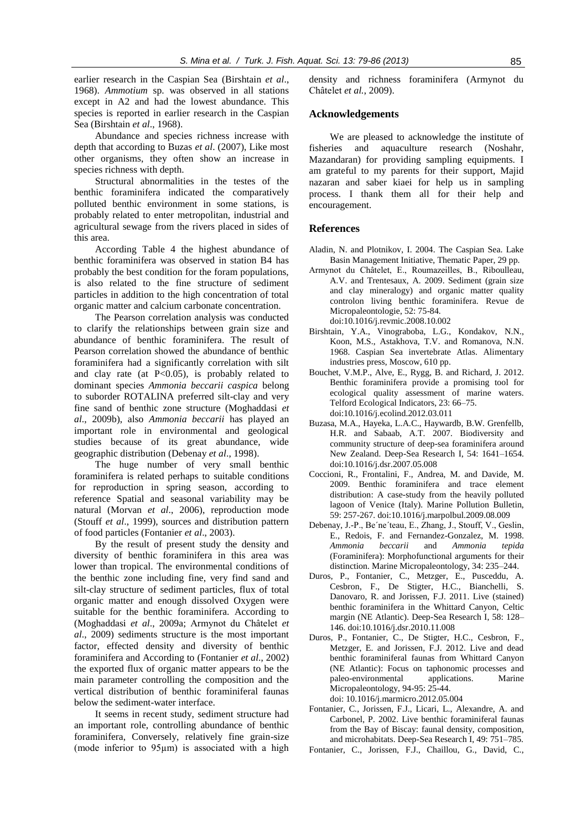earlier research in the Caspian Sea (Birshtain *et al*., 1968). *Ammotium* sp. was observed in all stations except in A2 and had the lowest abundance. This species is reported in earlier research in the Caspian Sea (Birshtain *et al*., 1968).

Abundance and species richness increase with depth that according to Buzas *et al*. (2007), Like most other organisms, they often show an increase in species richness with depth.

Structural abnormalities in the testes of the benthic foraminifera indicated the comparatively polluted benthic environment in some stations, is probably related to enter metropolitan, industrial and agricultural sewage from the rivers placed in sides of this area.

According Table 4 the highest abundance of benthic foraminifera was observed in station B4 has probably the best condition for the foram populations, is also related to the fine structure of sediment particles in addition to the high concentration of total organic matter and calcium carbonate concentration.

The Pearson correlation analysis was conducted to clarify the relationships between grain size and abundance of benthic foraminifera. The result of Pearson correlation showed the abundance of benthic foraminifera had a significantly correlation with silt and clay rate (at  $P<0.05$ ), is probably related to dominant species *Ammonia beccarii caspica* belong to suborder ROTALINA preferred silt-clay and very fine sand of benthic zone structure (Moghaddasi *et al*., 2009b), also *Ammonia beccarii* has played an important role in environmental and geological studies because of its great abundance, wide geographic distribution (Debenay *et al*., 1998).

The huge number of very small benthic foraminifera is related perhaps to suitable conditions for reproduction in spring season, according to reference Spatial and seasonal variability may be natural (Morvan *et al*., 2006), reproduction mode (Stouff *et al*., 1999), sources and distribution pattern of food particles (Fontanier *et al*., 2003).

By the result of present study the density and diversity of benthic foraminifera in this area was lower than tropical. The environmental conditions of the benthic zone including fine, very find sand and silt-clay structure of sediment particles, flux of total organic matter and enough dissolved Oxygen were suitable for the benthic foraminifera. According to (Moghaddasi *et al*., 2009a; Armynot du Châtelet *et al*., 2009) sediments structure is the most important factor, effected density and diversity of benthic foraminifera and According to (Fontanier *et al*., 2002) the exported flux of organic matter appears to be the main parameter controlling the composition and the vertical distribution of benthic foraminiferal faunas below the sediment-water interface.

It seems in recent study, sediment structure had an important role, controlling abundance of benthic foraminifera, Conversely, relatively fine grain-size (mode inferior to 95µm) is associated with a high density and richness foraminifera (Armynot du Châtelet *et al.*, 2009).

# **Acknowledgements**

We are pleased to acknowledge the institute of fisheries and aquaculture research (Noshahr, Mazandaran) for providing sampling equipments. I am grateful to my parents for their support, Majid nazaran and saber kiaei for help us in sampling process. I thank them all for their help and encouragement.

#### **References**

- Aladin, N. and Plotnikov, I. 2004. The Caspian Sea. Lake Basin Management Initiative, Thematic Paper, 29 pp.
- Armynot du Châtelet, E., Roumazeilles, B., Riboulleau, A.V. and Trentesaux, A. 2009. Sediment (grain size and clay mineralogy) and organic matter quality controlon living benthic foraminifera. Revue de Micropaleontologie, 52: 75-84. doi:10.1016/j.revmic.2008.10.002
- Birshtain, Y.A., Vinograboba, L.G., Kondakov, N.N., Koon, M.S., Astakhova, T.V. and Romanova, N.N. 1968. Caspian Sea invertebrate Atlas. Alimentary industries press, Moscow, 610 pp.
- Bouchet, V.M.P., Alve, E., Rygg, B. and Richard, J. 2012. Benthic foraminifera provide a promising tool for ecological quality assessment of marine waters. Telford Ecological Indicators, 23: 66–75. doi:10.1016/j.ecolind.2012.03.011
- Buzasa, M.A., Hayeka, L.A.C., Haywardb, B.W. Grenfellb, H.R. and Sabaab, A.T. 2007. Biodiversity and community structure of deep-sea foraminifera around New Zealand. Deep-Sea Research I, 54: 1641–1654. doi:10.1016/j.dsr.2007.05.008
- Coccioni, R., Frontalini, F., Andrea, M. and Davide, M. 2009. Benthic foraminifera and trace element distribution: A case-study from the heavily polluted lagoon of Venice (Italy). Marine Pollution Bulletin, 59: 257-267. doi:10.1016/j.marpolbul.2009.08.009
- Debenay, J.-P., Be´ne´teau, E., Zhang, J., Stouff, V., Geslin, E., Redois, F. and Fernandez-Gonzalez, M. 1998. *Ammonia beccarii* and *Ammonia tepida* (Foraminifera): Morphofunctional arguments for their distinction. Marine Micropaleontology, 34: 235–244.
- Duros, P., Fontanier, C., Metzger, E., Pusceddu, A. Cesbron, F., De Stigter, H.C., Bianchelli, S. Danovaro, R. and Jorissen, F.J. 2011. Live (stained) benthic foraminifera in the Whittard Canyon, Celtic margin (NE Atlantic). Deep-Sea Research I, 58: 128– 146. doi:10.1016/j.dsr.2010.11.008
- Duros, P., Fontanier, C., De Stigter, H.C., Cesbron, F., Metzger, E. and Jorissen, F.J. 2012. Live and dead benthic foraminiferal faunas from Whittard Canyon (NE Atlantic): Focus on taphonomic processes and paleo-environmental applications. Marine Micropaleontology, 94-95: 25-44. doi: 10.1016/j.marmicro.2012.05.004
- Fontanier, C., Jorissen, F.J., Licari, L., Alexandre, A. and Carbonel, P. 2002. Live benthic foraminiferal faunas from the Bay of Biscay: faunal density, composition, and microhabitats. Deep-Sea Research I, 49: 751–785.
- Fontanier, C., Jorissen, F.J., Chaillou, G., David, C.,